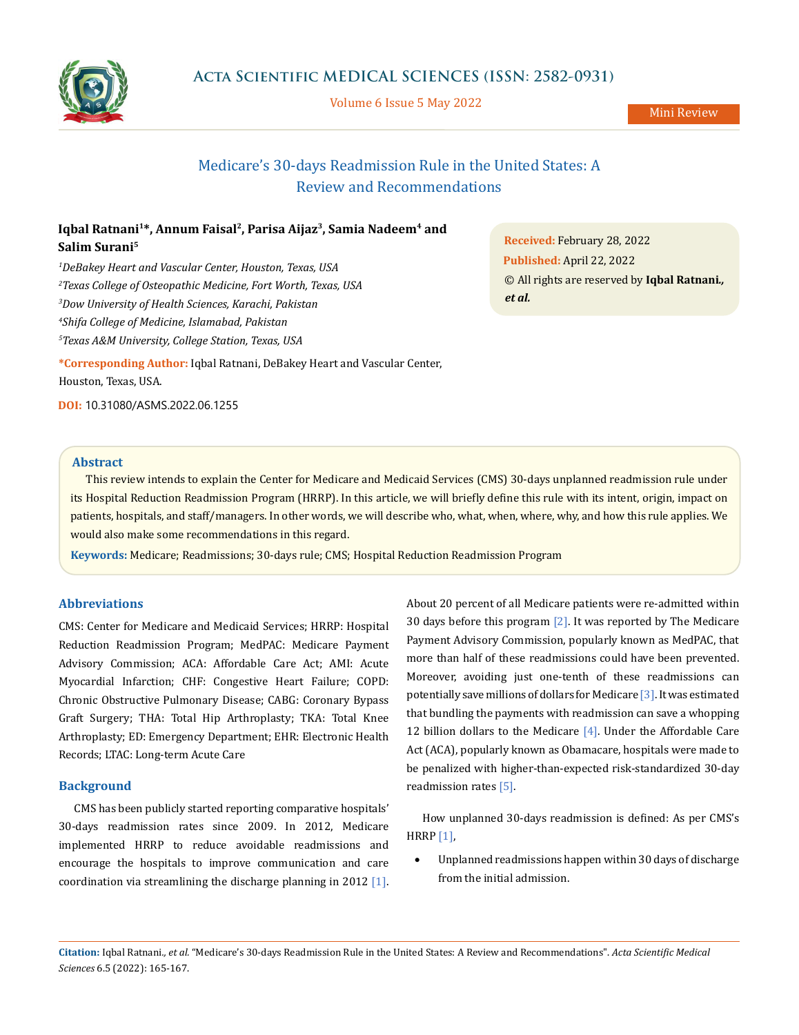

Volume 6 Issue 5 May 2022

Mini Review

# Medicare's 30-days Readmission Rule in the United States: A Review and Recommendations

## Iqbal Ratnani<sup>1\*</sup>, Annum Faisal<sup>2</sup>, Parisa Aijaz<sup>3</sup>, Samia Nadeem<sup>4</sup> and **Salim Surani5**

 *DeBakey Heart and Vascular Center, Houston, Texas, USA Texas College of Osteopathic Medicine, Fort Worth, Texas, USA Dow University of Health Sciences, Karachi, Pakistan Shifa College of Medicine, Islamabad, Pakistan Texas A&M University, College Station, Texas, USA*

**\*Corresponding Author:** Iqbal Ratnani, DeBakey Heart and Vascular Center, Houston, Texas, USA.

**DOI:** [10.31080/ASMS.2022.06.1255](http:// actascientific.com/ASMS/pdf/ASMS-06-1255.pdf)

**Received:** February 28, 2022 **Published:** April 22, 2022 © All rights are reserved by **Iqbal Ratnani***., et al.*

## **Abstract**

This review intends to explain the Center for Medicare and Medicaid Services (CMS) 30-days unplanned readmission rule under its Hospital Reduction Readmission Program (HRRP). In this article, we will briefly define this rule with its intent, origin, impact on patients, hospitals, and staff/managers. In other words, we will describe who, what, when, where, why, and how this rule applies. We would also make some recommendations in this regard.

**Keywords:** Medicare; Readmissions; 30-days rule; CMS; Hospital Reduction Readmission Program

## **Abbreviations**

CMS: Center for Medicare and Medicaid Services; HRRP: Hospital Reduction Readmission Program; MedPAC: Medicare Payment Advisory Commission; ACA: Affordable Care Act; AMI: Acute Myocardial Infarction; CHF: Congestive Heart Failure; COPD: Chronic Obstructive Pulmonary Disease; CABG: Coronary Bypass Graft Surgery; THA: Total Hip Arthroplasty; TKA: Total Knee Arthroplasty; ED: Emergency Department; EHR: Electronic Health Records; LTAC: Long-term Acute Care

## **Background**

CMS has been publicly started reporting comparative hospitals' 30-days readmission rates since 2009. In 2012, Medicare implemented HRRP to reduce avoidable readmissions and encourage the hospitals to improve communication and care coordination via streamlining the discharge planning in 2012 [1].

About 20 percent of all Medicare patients were re-admitted within 30 days before this program  $\lceil 2 \rceil$ . It was reported by The Medicare Payment Advisory Commission, popularly known as MedPAC, that more than half of these readmissions could have been prevented. Moreover, avoiding just one-tenth of these readmissions can potentially save millions of dollars for Medicare [3]. It was estimated that bundling the payments with readmission can save a whopping 12 billion dollars to the Medicare [4]. Under the Affordable Care Act (ACA), popularly known as Obamacare, hospitals were made to be penalized with higher-than-expected risk-standardized 30-day readmission rates [5].

How unplanned 30-days readmission is defined: As per CMS's HRRP [1],

Unplanned readmissions happen within 30 days of discharge from the initial admission.

**Citation:** Iqbal Ratnani*., et al.* "Medicare's 30-days Readmission Rule in the United States: A Review and Recommendations". *Acta Scientific Medical Sciences* 6.5 (2022): 165-167.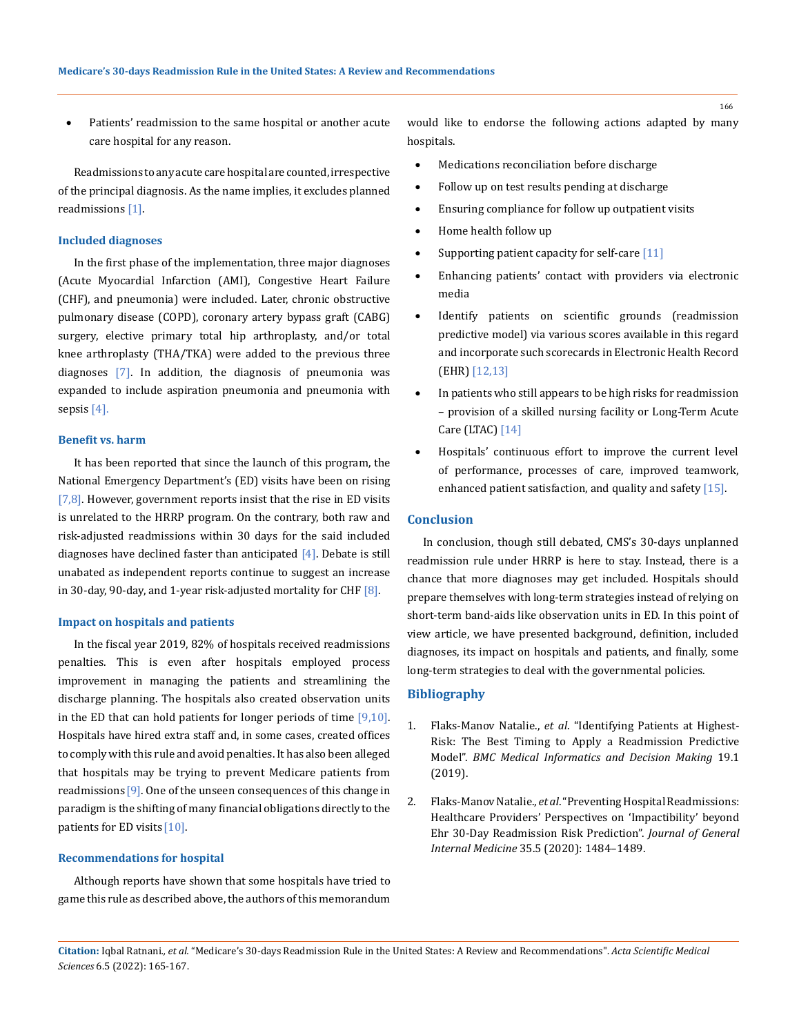Patients' readmission to the same hospital or another acute care hospital for any reason.

Readmissions to any acute care hospital are counted, irrespective of the principal diagnosis. As the name implies, it excludes planned readmissions [1].

#### **Included diagnoses**

In the first phase of the implementation, three major diagnoses (Acute Myocardial Infarction (AMI), Congestive Heart Failure (CHF), and pneumonia) were included. Later, chronic obstructive pulmonary disease (COPD), coronary artery bypass graft (CABG) surgery, elective primary total hip arthroplasty, and/or total knee arthroplasty (THA/TKA) were added to the previous three diagnoses [7]. In addition, the diagnosis of pneumonia was expanded to include aspiration pneumonia and pneumonia with sepsis [4].

#### **Benefit vs. harm**

It has been reported that since the launch of this program, the National Emergency Department's (ED) visits have been on rising  $[7,8]$ . However, government reports insist that the rise in ED visits is unrelated to the HRRP program. On the contrary, both raw and risk-adjusted readmissions within 30 days for the said included diagnoses have declined faster than anticipated  $[4]$ . Debate is still unabated as independent reports continue to suggest an increase in 30-day, 90-day, and 1-year risk-adjusted mortality for CHF  $[8]$ .

#### **Impact on hospitals and patients**

In the fiscal year 2019, 82% of hospitals received readmissions penalties. This is even after hospitals employed process improvement in managing the patients and streamlining the discharge planning. The hospitals also created observation units in the ED that can hold patients for longer periods of time  $[9,10]$ . Hospitals have hired extra staff and, in some cases, created offices to comply with this rule and avoid penalties. It has also been alleged that hospitals may be trying to prevent Medicare patients from readmissions [9]. One of the unseen consequences of this change in paradigm is the shifting of many financial obligations directly to the patients for ED visits [10].

#### **Recommendations for hospital**

Although reports have shown that some hospitals have tried to game this rule as described above, the authors of this memorandum would like to endorse the following actions adapted by many hospitals.

- Medications reconciliation before discharge
- Follow up on test results pending at discharge
- Ensuring compliance for follow up outpatient visits
- • Home health follow up
- Supporting patient capacity for self-care  $[11]$
- Enhancing patients' contact with providers via electronic media
- • Identify patients on scientific grounds (readmission predictive model) via various scores available in this regard and incorporate such scorecards in Electronic Health Record (EHR) [12,13]
- In patients who still appears to be high risks for readmission – provision of a skilled nursing facility or Long-Term Acute Care (LTAC) [14]
- Hospitals' continuous effort to improve the current level of performance, processes of care, improved teamwork, enhanced patient satisfaction, and quality and safety [15].

## **Conclusion**

In conclusion, though still debated, CMS's 30-days unplanned readmission rule under HRRP is here to stay. Instead, there is a chance that more diagnoses may get included. Hospitals should prepare themselves with long-term strategies instead of relying on short-term band-aids like observation units in ED. In this point of view article, we have presented background, definition, included diagnoses, its impact on hospitals and patients, and finally, some long-term strategies to deal with the governmental policies.

## **Bibliography**

- 1. Flaks-Manov Natalie., *et al*[. "Identifying Patients at Highest-](https://doi.org/10.1186/s12911-019-0836-6)[Risk: The Best Timing to Apply a Readmission Predictive](https://doi.org/10.1186/s12911-019-0836-6) Model". *[BMC Medical Informatics and Decision Making](https://doi.org/10.1186/s12911-019-0836-6)* 19.1 [\(2019\).](https://doi.org/10.1186/s12911-019-0836-6)
- 2. Flaks-Manov Natalie., *et al*[. "Preventing Hospital Readmissions:](https://doi.org/10.1007/s11606-020-05739-9)  [Healthcare Providers' Perspectives on 'Impactibility' beyond](https://doi.org/10.1007/s11606-020-05739-9) [Ehr 30-Day Readmission Risk Prediction".](https://doi.org/10.1007/s11606-020-05739-9) *Journal of General Internal Medicine* [35.5 \(2020\): 1484–1489.](https://doi.org/10.1007/s11606-020-05739-9)

166

**Citation:** Iqbal Ratnani*., et al.* "Medicare's 30-days Readmission Rule in the United States: A Review and Recommendations". *Acta Scientific Medical Sciences* 6.5 (2022): 165-167.